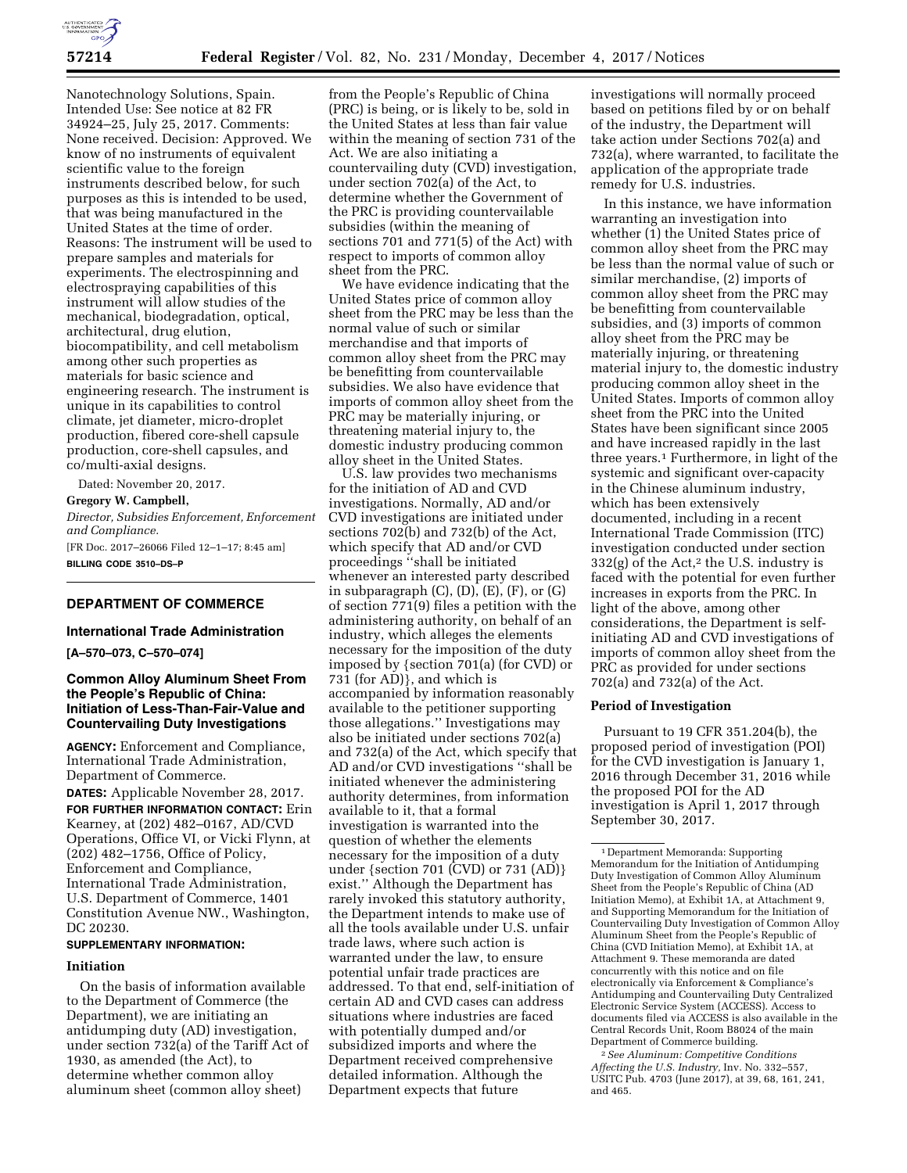

Nanotechnology Solutions, Spain. Intended Use: See notice at 82 FR 34924–25, July 25, 2017. Comments: None received. Decision: Approved. We know of no instruments of equivalent scientific value to the foreign instruments described below, for such purposes as this is intended to be used, that was being manufactured in the United States at the time of order. Reasons: The instrument will be used to prepare samples and materials for experiments. The electrospinning and electrospraying capabilities of this instrument will allow studies of the mechanical, biodegradation, optical, architectural, drug elution, biocompatibility, and cell metabolism among other such properties as materials for basic science and engineering research. The instrument is unique in its capabilities to control climate, jet diameter, micro-droplet production, fibered core-shell capsule production, core-shell capsules, and co/multi-axial designs.

Dated: November 20, 2017.

**Gregory W. Campbell,** 

*Director, Subsidies Enforcement, Enforcement and Compliance.* 

[FR Doc. 2017–26066 Filed 12–1–17; 8:45 am] **BILLING CODE 3510–DS–P** 

# **DEPARTMENT OF COMMERCE**

#### **International Trade Administration**

**[A–570–073, C–570–074]** 

## **Common Alloy Aluminum Sheet From the People's Republic of China: Initiation of Less-Than-Fair-Value and Countervailing Duty Investigations**

**AGENCY:** Enforcement and Compliance, International Trade Administration, Department of Commerce.

**DATES:** Applicable November 28, 2017. **FOR FURTHER INFORMATION CONTACT:** Erin

Kearney, at (202) 482–0167, AD/CVD Operations, Office VI, or Vicki Flynn, at (202) 482–1756, Office of Policy, Enforcement and Compliance, International Trade Administration, U.S. Department of Commerce, 1401 Constitution Avenue NW., Washington, DC 20230.

## **SUPPLEMENTARY INFORMATION:**

### **Initiation**

On the basis of information available to the Department of Commerce (the Department), we are initiating an antidumping duty (AD) investigation, under section 732(a) of the Tariff Act of 1930, as amended (the Act), to determine whether common alloy aluminum sheet (common alloy sheet)

from the People's Republic of China (PRC) is being, or is likely to be, sold in the United States at less than fair value within the meaning of section 731 of the Act. We are also initiating a countervailing duty (CVD) investigation, under section 702(a) of the Act, to determine whether the Government of the PRC is providing countervailable subsidies (within the meaning of sections 701 and 771(5) of the Act) with respect to imports of common alloy sheet from the PRC.

We have evidence indicating that the United States price of common alloy sheet from the PRC may be less than the normal value of such or similar merchandise and that imports of common alloy sheet from the PRC may be benefitting from countervailable subsidies. We also have evidence that imports of common alloy sheet from the PRC may be materially injuring, or threatening material injury to, the domestic industry producing common alloy sheet in the United States.

U.S. law provides two mechanisms for the initiation of AD and CVD investigations. Normally, AD and/or CVD investigations are initiated under sections 702(b) and 732(b) of the Act, which specify that AD and/or CVD proceedings ''shall be initiated whenever an interested party described in subparagraph  $(C)$ ,  $(D)$ ,  $(E)$ ,  $(F)$ , or  $(G)$ of section 771(9) files a petition with the administering authority, on behalf of an industry, which alleges the elements necessary for the imposition of the duty imposed by {section 701(a) (for CVD) or 731 (for AD)}, and which is accompanied by information reasonably available to the petitioner supporting those allegations.'' Investigations may also be initiated under sections 702(a) and 732(a) of the Act, which specify that AD and/or CVD investigations ''shall be initiated whenever the administering authority determines, from information available to it, that a formal investigation is warranted into the question of whether the elements necessary for the imposition of a duty under {section 701 (CVD) or 731 (AD)} exist.'' Although the Department has rarely invoked this statutory authority, the Department intends to make use of all the tools available under U.S. unfair trade laws, where such action is warranted under the law, to ensure potential unfair trade practices are addressed. To that end, self-initiation of certain AD and CVD cases can address situations where industries are faced with potentially dumped and/or subsidized imports and where the Department received comprehensive detailed information. Although the Department expects that future

investigations will normally proceed based on petitions filed by or on behalf of the industry, the Department will take action under Sections 702(a) and 732(a), where warranted, to facilitate the application of the appropriate trade remedy for U.S. industries.

In this instance, we have information warranting an investigation into whether (1) the United States price of common alloy sheet from the PRC may be less than the normal value of such or similar merchandise, (2) imports of common alloy sheet from the PRC may be benefitting from countervailable subsidies, and (3) imports of common alloy sheet from the PRC may be materially injuring, or threatening material injury to, the domestic industry producing common alloy sheet in the United States. Imports of common alloy sheet from the PRC into the United States have been significant since 2005 and have increased rapidly in the last three years.1 Furthermore, in light of the systemic and significant over-capacity in the Chinese aluminum industry, which has been extensively documented, including in a recent International Trade Commission (ITC) investigation conducted under section  $332(g)$  of the Act,<sup>2</sup> the U.S. industry is faced with the potential for even further increases in exports from the PRC. In light of the above, among other considerations, the Department is selfinitiating AD and CVD investigations of imports of common alloy sheet from the PRC as provided for under sections 702(a) and 732(a) of the Act.

### **Period of Investigation**

Pursuant to 19 CFR 351.204(b), the proposed period of investigation (POI) for the CVD investigation is January 1, 2016 through December 31, 2016 while the proposed POI for the AD investigation is April 1, 2017 through September 30, 2017.

2*See Aluminum: Competitive Conditions Affecting the U.S. Industry,* Inv. No. 332–557, USITC Pub. 4703 (June 2017), at 39, 68, 161, 241, and 465.

<sup>1</sup> Department Memoranda: Supporting Memorandum for the Initiation of Antidumping Duty Investigation of Common Alloy Aluminum Sheet from the People's Republic of China (AD Initiation Memo), at Exhibit 1A, at Attachment 9, and Supporting Memorandum for the Initiation of Countervailing Duty Investigation of Common Alloy Aluminum Sheet from the People's Republic of China (CVD Initiation Memo), at Exhibit 1A, at Attachment 9. These memoranda are dated concurrently with this notice and on file electronically via Enforcement & Compliance's Antidumping and Countervailing Duty Centralized Electronic Service System (ACCESS). Access to documents filed via ACCESS is also available in the Central Records Unit, Room B8024 of the main Department of Commerce building.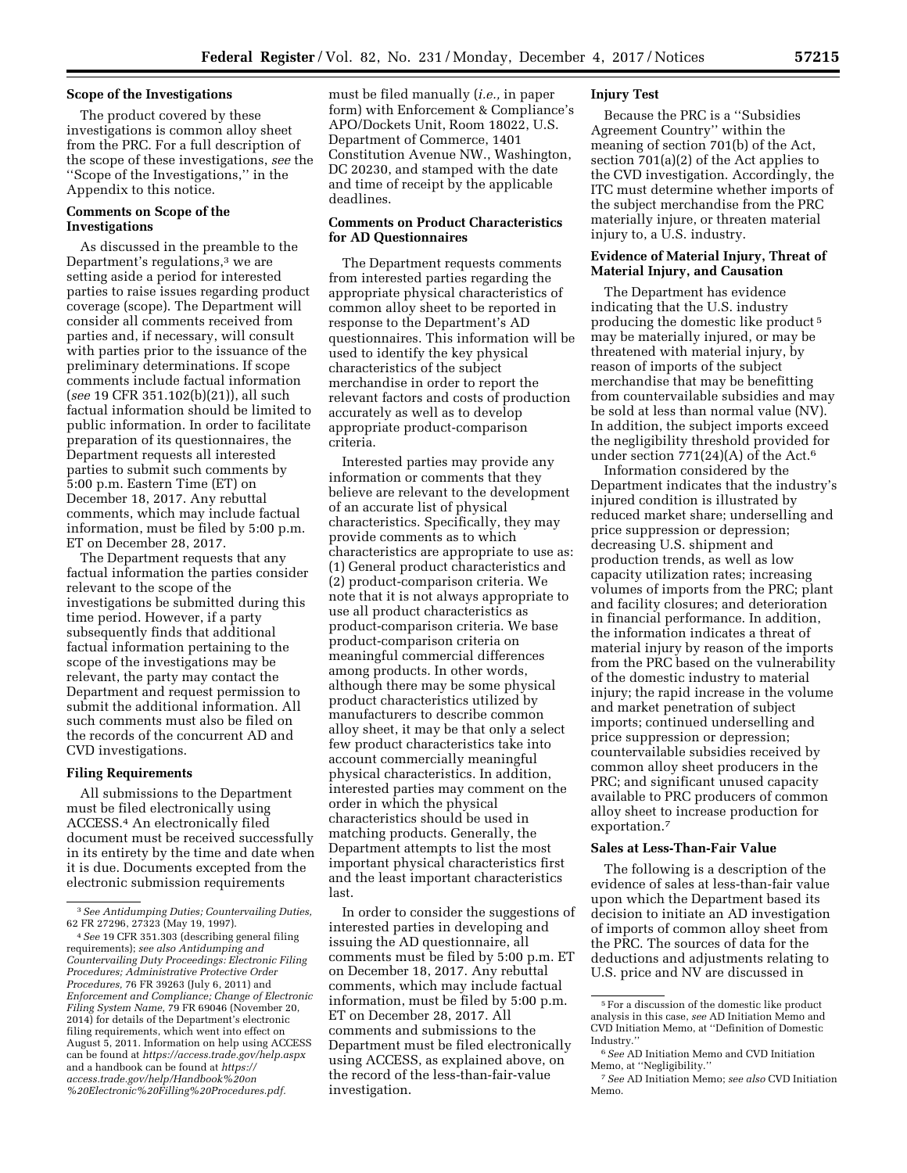### **Scope of the Investigations**

The product covered by these investigations is common alloy sheet from the PRC. For a full description of the scope of these investigations, *see* the ''Scope of the Investigations,'' in the Appendix to this notice.

## **Comments on Scope of the Investigations**

As discussed in the preamble to the Department's regulations,<sup>3</sup> we are setting aside a period for interested parties to raise issues regarding product coverage (scope). The Department will consider all comments received from parties and, if necessary, will consult with parties prior to the issuance of the preliminary determinations. If scope comments include factual information (*see* 19 CFR 351.102(b)(21)), all such factual information should be limited to public information. In order to facilitate preparation of its questionnaires, the Department requests all interested parties to submit such comments by 5:00 p.m. Eastern Time (ET) on December 18, 2017. Any rebuttal comments, which may include factual information, must be filed by 5:00 p.m. ET on December 28, 2017.

The Department requests that any factual information the parties consider relevant to the scope of the investigations be submitted during this time period. However, if a party subsequently finds that additional factual information pertaining to the scope of the investigations may be relevant, the party may contact the Department and request permission to submit the additional information. All such comments must also be filed on the records of the concurrent AD and CVD investigations.

#### **Filing Requirements**

All submissions to the Department must be filed electronically using ACCESS.4 An electronically filed document must be received successfully in its entirety by the time and date when it is due. Documents excepted from the electronic submission requirements

must be filed manually (*i.e.,* in paper form) with Enforcement & Compliance's APO/Dockets Unit, Room 18022, U.S. Department of Commerce, 1401 Constitution Avenue NW., Washington, DC 20230, and stamped with the date and time of receipt by the applicable deadlines.

### **Comments on Product Characteristics for AD Questionnaires**

The Department requests comments from interested parties regarding the appropriate physical characteristics of common alloy sheet to be reported in response to the Department's AD questionnaires. This information will be used to identify the key physical characteristics of the subject merchandise in order to report the relevant factors and costs of production accurately as well as to develop appropriate product-comparison criteria.

Interested parties may provide any information or comments that they believe are relevant to the development of an accurate list of physical characteristics. Specifically, they may provide comments as to which characteristics are appropriate to use as: (1) General product characteristics and (2) product-comparison criteria. We note that it is not always appropriate to use all product characteristics as product-comparison criteria. We base product-comparison criteria on meaningful commercial differences among products. In other words, although there may be some physical product characteristics utilized by manufacturers to describe common alloy sheet, it may be that only a select few product characteristics take into account commercially meaningful physical characteristics. In addition, interested parties may comment on the order in which the physical characteristics should be used in matching products. Generally, the Department attempts to list the most important physical characteristics first and the least important characteristics last.

In order to consider the suggestions of interested parties in developing and issuing the AD questionnaire, all comments must be filed by 5:00 p.m. ET on December 18, 2017. Any rebuttal comments, which may include factual information, must be filed by 5:00 p.m. ET on December 28, 2017. All comments and submissions to the Department must be filed electronically using ACCESS, as explained above, on the record of the less-than-fair-value investigation.

### **Injury Test**

Because the PRC is a ''Subsidies Agreement Country'' within the meaning of section 701(b) of the Act, section 701(a)(2) of the Act applies to the CVD investigation. Accordingly, the ITC must determine whether imports of the subject merchandise from the PRC materially injure, or threaten material injury to, a U.S. industry.

### **Evidence of Material Injury, Threat of Material Injury, and Causation**

The Department has evidence indicating that the U.S. industry producing the domestic like product 5 may be materially injured, or may be threatened with material injury, by reason of imports of the subject merchandise that may be benefitting from countervailable subsidies and may be sold at less than normal value (NV). In addition, the subject imports exceed the negligibility threshold provided for under section  $771(24)(A)$  of the Act.<sup>6</sup>

Information considered by the Department indicates that the industry's injured condition is illustrated by reduced market share; underselling and price suppression or depression; decreasing U.S. shipment and production trends, as well as low capacity utilization rates; increasing volumes of imports from the PRC; plant and facility closures; and deterioration in financial performance. In addition, the information indicates a threat of material injury by reason of the imports from the PRC based on the vulnerability of the domestic industry to material injury; the rapid increase in the volume and market penetration of subject imports; continued underselling and price suppression or depression; countervailable subsidies received by common alloy sheet producers in the PRC; and significant unused capacity available to PRC producers of common alloy sheet to increase production for exportation.7

## **Sales at Less-Than-Fair Value**

The following is a description of the evidence of sales at less-than-fair value upon which the Department based its decision to initiate an AD investigation of imports of common alloy sheet from the PRC. The sources of data for the deductions and adjustments relating to U.S. price and NV are discussed in

<sup>3</sup>*See Antidumping Duties; Countervailing Duties,*  62 FR 27296, 27323 (May 19, 1997).

<sup>4</sup>*See* 19 CFR 351.303 (describing general filing requirements); *see also Antidumping and Countervailing Duty Proceedings: Electronic Filing Procedures; Administrative Protective Order Procedures,* 76 FR 39263 (July 6, 2011) and *Enforcement and Compliance; Change of Electronic Filing System Name,* 79 FR 69046 (November 20, 2014) for details of the Department's electronic filing requirements, which went into effect on August 5, 2011. Information on help using ACCESS can be found at *<https://access.trade.gov/help.aspx>*  and a handbook can be found at *[https://](https://access.trade.gov/help/Handbook%20on%20Electronic%20Filling%20Procedures.pdf) [access.trade.gov/help/Handbook%20on](https://access.trade.gov/help/Handbook%20on%20Electronic%20Filling%20Procedures.pdf) [%20Electronic%20Filling%20Procedures.pdf.](https://access.trade.gov/help/Handbook%20on%20Electronic%20Filling%20Procedures.pdf)* 

<sup>5</sup>For a discussion of the domestic like product analysis in this case, *see* AD Initiation Memo and CVD Initiation Memo, at ''Definition of Domestic Industry.''

<sup>6</sup>*See* AD Initiation Memo and CVD Initiation Memo, at ''Negligibility.''

<sup>7</sup>*See* AD Initiation Memo; *see also* CVD Initiation Memo.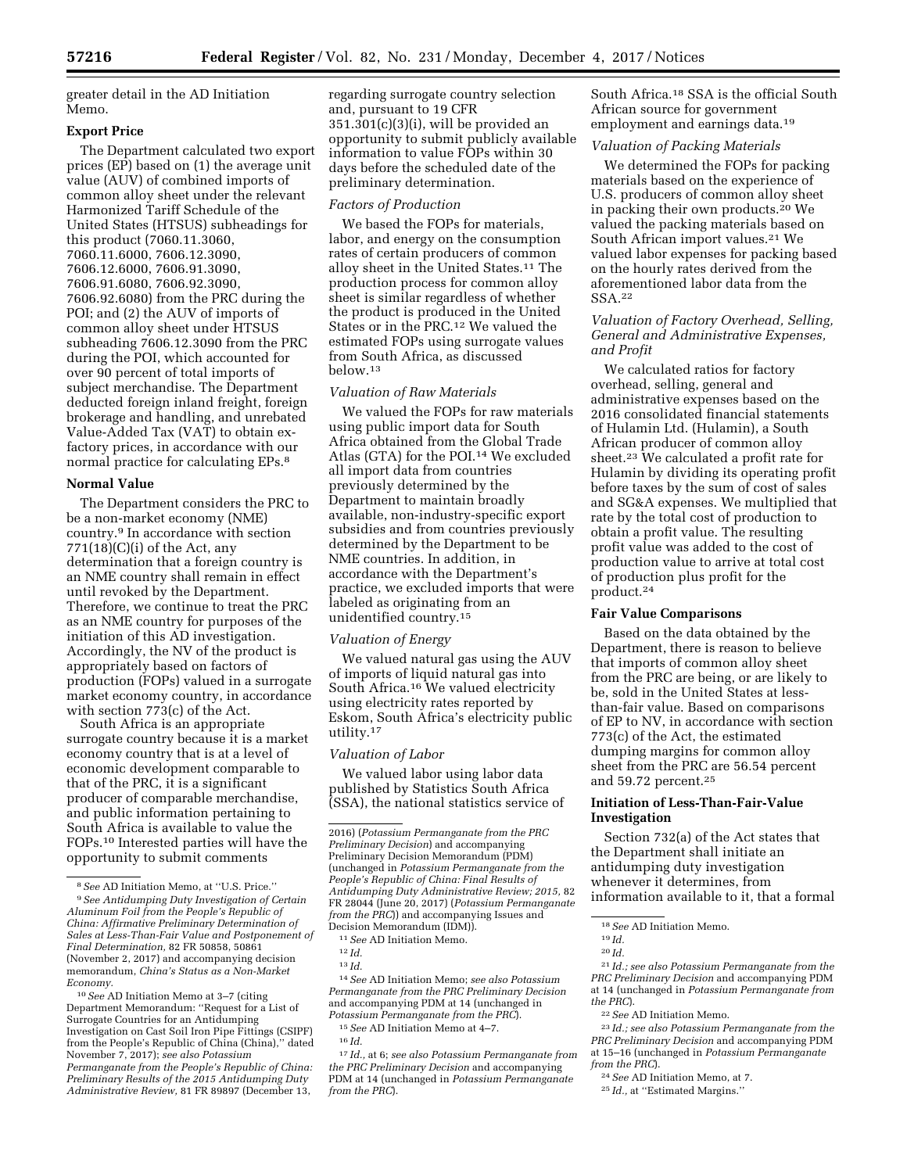greater detail in the AD Initiation Memo.

#### **Export Price**

The Department calculated two export prices (EP) based on (1) the average unit value (AUV) of combined imports of common alloy sheet under the relevant Harmonized Tariff Schedule of the United States (HTSUS) subheadings for this product (7060.11.3060, 7060.11.6000, 7606.12.3090, 7606.12.6000, 7606.91.3090, 7606.91.6080, 7606.92.3090, 7606.92.6080) from the PRC during the POI; and (2) the AUV of imports of common alloy sheet under HTSUS subheading 7606.12.3090 from the PRC during the POI, which accounted for over 90 percent of total imports of subject merchandise. The Department deducted foreign inland freight, foreign brokerage and handling, and unrebated Value-Added Tax (VAT) to obtain exfactory prices, in accordance with our normal practice for calculating EPs.8

### **Normal Value**

The Department considers the PRC to be a non-market economy (NME) country.9 In accordance with section  $771(18)(C)(i)$  of the Act, any determination that a foreign country is an NME country shall remain in effect until revoked by the Department. Therefore, we continue to treat the PRC as an NME country for purposes of the initiation of this AD investigation. Accordingly, the NV of the product is appropriately based on factors of production (FOPs) valued in a surrogate market economy country, in accordance with section 773(c) of the Act.

South Africa is an appropriate surrogate country because it is a market economy country that is at a level of economic development comparable to that of the PRC, it is a significant producer of comparable merchandise, and public information pertaining to South Africa is available to value the FOPs.10 Interested parties will have the opportunity to submit comments

regarding surrogate country selection and, pursuant to 19 CFR 351.301(c)(3)(i), will be provided an opportunity to submit publicly available information to value FOPs within 30 days before the scheduled date of the preliminary determination.

# *Factors of Production*

We based the FOPs for materials, labor, and energy on the consumption rates of certain producers of common alloy sheet in the United States.11 The production process for common alloy sheet is similar regardless of whether the product is produced in the United States or in the PRC.12 We valued the estimated FOPs using surrogate values from South Africa, as discussed below.13

#### *Valuation of Raw Materials*

We valued the FOPs for raw materials using public import data for South Africa obtained from the Global Trade Atlas (GTA) for the POI.14 We excluded all import data from countries previously determined by the Department to maintain broadly available, non-industry-specific export subsidies and from countries previously determined by the Department to be NME countries. In addition, in accordance with the Department's practice, we excluded imports that were labeled as originating from an unidentified country.15

#### *Valuation of Energy*

We valued natural gas using the AUV of imports of liquid natural gas into South Africa.16 We valued electricity using electricity rates reported by Eskom, South Africa's electricity public utility.17

#### *Valuation of Labor*

We valued labor using labor data published by Statistics South Africa (SSA), the national statistics service of

11*See* AD Initiation Memo.

14*See* AD Initiation Memo; *see also Potassium Permanganate from the PRC Preliminary Decision*  and accompanying PDM at 14 (unchanged in *Potassium Permanganate from the PRC*).

15*See* AD Initiation Memo at 4–7.

17 *Id.,* at 6; *see also Potassium Permanganate from the PRC Preliminary Decision* and accompanying PDM at 14 (unchanged in *Potassium Permanganate from the PRC*).

South Africa.18 SSA is the official South African source for government employment and earnings data.<sup>19</sup>

# *Valuation of Packing Materials*

We determined the FOPs for packing materials based on the experience of U.S. producers of common alloy sheet in packing their own products.20 We valued the packing materials based on South African import values.<sup>21</sup> We valued labor expenses for packing based on the hourly rates derived from the aforementioned labor data from the SSA.22

# *Valuation of Factory Overhead, Selling, General and Administrative Expenses, and Profit*

We calculated ratios for factory overhead, selling, general and administrative expenses based on the 2016 consolidated financial statements of Hulamin Ltd. (Hulamin), a South African producer of common alloy sheet.23 We calculated a profit rate for Hulamin by dividing its operating profit before taxes by the sum of cost of sales and SG&A expenses. We multiplied that rate by the total cost of production to obtain a profit value. The resulting profit value was added to the cost of production value to arrive at total cost of production plus profit for the product.24

#### **Fair Value Comparisons**

Based on the data obtained by the Department, there is reason to believe that imports of common alloy sheet from the PRC are being, or are likely to be, sold in the United States at lessthan-fair value. Based on comparisons of EP to NV, in accordance with section 773(c) of the Act, the estimated dumping margins for common alloy sheet from the PRC are 56.54 percent and 59.72 percent.25

### **Initiation of Less-Than-Fair-Value Investigation**

Section 732(a) of the Act states that the Department shall initiate an antidumping duty investigation whenever it determines, from information available to it, that a formal

21 *Id.; see also Potassium Permanganate from the PRC Preliminary Decision* and accompanying PDM at 14 (unchanged in *Potassium Permanganate from the PRC*).

24*See* AD Initiation Memo, at 7.

25 *Id.,* at ''Estimated Margins.''

<sup>8</sup>*See* AD Initiation Memo, at ''U.S. Price.'' 9*See Antidumping Duty Investigation of Certain Aluminum Foil from the People's Republic of China: Affirmative Preliminary Determination of Sales at Less-Than-Fair Value and Postponement of Final Determination,* 82 FR 50858, 50861 (November 2, 2017) and accompanying decision memorandum, *China's Status as a Non-Market Economy.* 

<sup>10</sup>*See* AD Initiation Memo at 3–7 (citing Department Memorandum: ''Request for a List of Surrogate Countries for an Antidumping Investigation on Cast Soil Iron Pipe Fittings (CSIPF) from the People's Republic of China (China),'' dated November 7, 2017); *see also Potassium Permanganate from the People's Republic of China: Preliminary Results of the 2015 Antidumping Duty Administrative Review,* 81 FR 89897 (December 13,

<sup>2016) (</sup>*Potassium Permanganate from the PRC Preliminary Decision*) and accompanying Preliminary Decision Memorandum (PDM) (unchanged in *Potassium Permanganate from the People's Republic of China: Final Results of Antidumping Duty Administrative Review; 2015,* 82 FR 28044 (June 20, 2017) (*Potassium Permanganate from the PRC*)) and accompanying Issues and Decision Memorandum (IDM)).

<sup>12</sup> *Id.* 

<sup>13</sup> *Id.* 

<sup>16</sup> *Id.* 

<sup>18</sup>*See* AD Initiation Memo.

<sup>19</sup> *Id.* 

<sup>20</sup> *Id.* 

<sup>22</sup>*See* AD Initiation Memo.

<sup>23</sup> *Id.; see also Potassium Permanganate from the PRC Preliminary Decision* and accompanying PDM at 15–16 (unchanged in *Potassium Permanganate from the PRC*).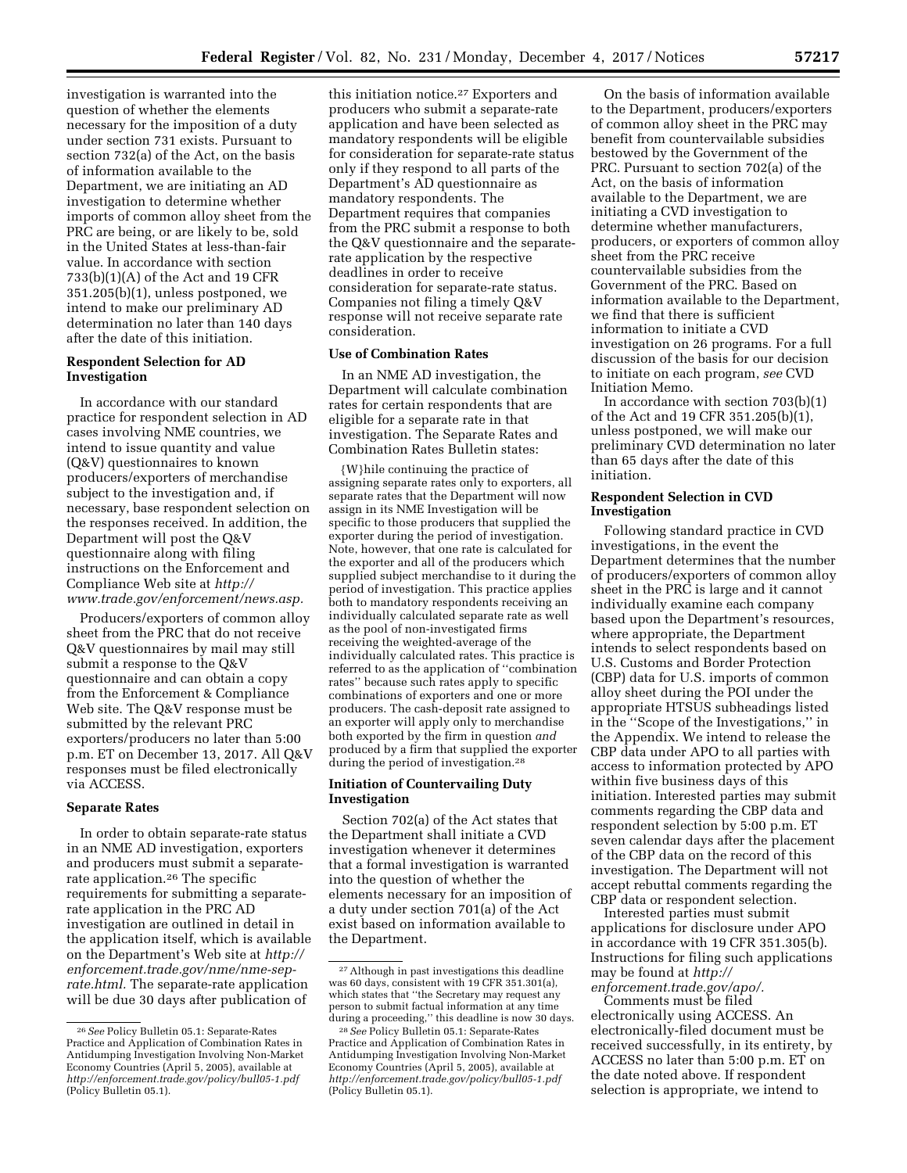investigation is warranted into the question of whether the elements necessary for the imposition of a duty under section 731 exists. Pursuant to section 732(a) of the Act, on the basis of information available to the Department, we are initiating an AD investigation to determine whether imports of common alloy sheet from the PRC are being, or are likely to be, sold in the United States at less-than-fair value. In accordance with section 733(b)(1)(A) of the Act and 19 CFR 351.205(b)(1), unless postponed, we intend to make our preliminary AD determination no later than 140 days after the date of this initiation.

#### **Respondent Selection for AD Investigation**

In accordance with our standard practice for respondent selection in AD cases involving NME countries, we intend to issue quantity and value (Q&V) questionnaires to known producers/exporters of merchandise subject to the investigation and, if necessary, base respondent selection on the responses received. In addition, the Department will post the Q&V questionnaire along with filing instructions on the Enforcement and Compliance Web site at *[http://](http://www.trade.gov/enforcement/news.asp) [www.trade.gov/enforcement/news.asp.](http://www.trade.gov/enforcement/news.asp)* 

Producers/exporters of common alloy sheet from the PRC that do not receive Q&V questionnaires by mail may still submit a response to the Q&V questionnaire and can obtain a copy from the Enforcement & Compliance Web site. The Q&V response must be submitted by the relevant PRC exporters/producers no later than 5:00 p.m. ET on December 13, 2017. All Q&V responses must be filed electronically via ACCESS.

#### **Separate Rates**

In order to obtain separate-rate status in an NME AD investigation, exporters and producers must submit a separaterate application.26 The specific requirements for submitting a separaterate application in the PRC AD investigation are outlined in detail in the application itself, which is available on the Department's Web site at *[http://](http://enforcement.trade.gov/nme/nme-sep-rate.html) [enforcement.trade.gov/nme/nme-sep](http://enforcement.trade.gov/nme/nme-sep-rate.html)[rate.html.](http://enforcement.trade.gov/nme/nme-sep-rate.html)* The separate-rate application will be due 30 days after publication of

this initiation notice.27 Exporters and producers who submit a separate-rate application and have been selected as mandatory respondents will be eligible for consideration for separate-rate status only if they respond to all parts of the Department's AD questionnaire as mandatory respondents. The Department requires that companies from the PRC submit a response to both the Q&V questionnaire and the separaterate application by the respective deadlines in order to receive consideration for separate-rate status. Companies not filing a timely Q&V response will not receive separate rate consideration.

#### **Use of Combination Rates**

In an NME AD investigation, the Department will calculate combination rates for certain respondents that are eligible for a separate rate in that investigation. The Separate Rates and Combination Rates Bulletin states:

{W}hile continuing the practice of assigning separate rates only to exporters, all separate rates that the Department will now assign in its NME Investigation will be specific to those producers that supplied the exporter during the period of investigation. Note, however, that one rate is calculated for the exporter and all of the producers which supplied subject merchandise to it during the period of investigation. This practice applies both to mandatory respondents receiving an individually calculated separate rate as well as the pool of non-investigated firms receiving the weighted-average of the individually calculated rates. This practice is referred to as the application of ''combination rates'' because such rates apply to specific combinations of exporters and one or more producers. The cash-deposit rate assigned to an exporter will apply only to merchandise both exported by the firm in question *and*  produced by a firm that supplied the exporter during the period of investigation.<sup>28</sup>

#### **Initiation of Countervailing Duty Investigation**

Section 702(a) of the Act states that the Department shall initiate a CVD investigation whenever it determines that a formal investigation is warranted into the question of whether the elements necessary for an imposition of a duty under section 701(a) of the Act exist based on information available to the Department.

On the basis of information available to the Department, producers/exporters of common alloy sheet in the PRC may benefit from countervailable subsidies bestowed by the Government of the PRC. Pursuant to section 702(a) of the Act, on the basis of information available to the Department, we are initiating a CVD investigation to determine whether manufacturers, producers, or exporters of common alloy sheet from the PRC receive countervailable subsidies from the Government of the PRC. Based on information available to the Department, we find that there is sufficient information to initiate a CVD investigation on 26 programs. For a full discussion of the basis for our decision to initiate on each program, *see* CVD Initiation Memo.

In accordance with section 703(b)(1) of the Act and 19 CFR 351.205(b)(1), unless postponed, we will make our preliminary CVD determination no later than 65 days after the date of this initiation.

## **Respondent Selection in CVD Investigation**

Following standard practice in CVD investigations, in the event the Department determines that the number of producers/exporters of common alloy sheet in the PRC is large and it cannot individually examine each company based upon the Department's resources, where appropriate, the Department intends to select respondents based on U.S. Customs and Border Protection (CBP) data for U.S. imports of common alloy sheet during the POI under the appropriate HTSUS subheadings listed in the ''Scope of the Investigations,'' in the Appendix. We intend to release the CBP data under APO to all parties with access to information protected by APO within five business days of this initiation. Interested parties may submit comments regarding the CBP data and respondent selection by 5:00 p.m. ET seven calendar days after the placement of the CBP data on the record of this investigation. The Department will not accept rebuttal comments regarding the CBP data or respondent selection.

Interested parties must submit applications for disclosure under APO in accordance with 19 CFR 351.305(b). Instructions for filing such applications may be found at *[http://](http://enforcement.trade.gov/apo/)*

*[enforcement.trade.gov/apo/.](http://enforcement.trade.gov/apo/)*  Comments must be filed

electronically using ACCESS. An electronically-filed document must be received successfully, in its entirety, by ACCESS no later than 5:00 p.m. ET on the date noted above. If respondent selection is appropriate, we intend to

<sup>26</sup>*See* Policy Bulletin 05.1: Separate-Rates Practice and Application of Combination Rates in Antidumping Investigation Involving Non-Market Economy Countries (April 5, 2005), available at *<http://enforcement.trade.gov/policy/bull05-1.pdf>* (Policy Bulletin 05.1).

<sup>27</sup>Although in past investigations this deadline was 60 days, consistent with 19 CFR 351.301(a), which states that ''the Secretary may request any person to submit factual information at any time during a proceeding,'' this deadline is now 30 days.

<sup>28</sup>*See* Policy Bulletin 05.1: Separate-Rates Practice and Application of Combination Rates in Antidumping Investigation Involving Non-Market Economy Countries (April 5, 2005), available at *<http://enforcement.trade.gov/policy/bull05-1.pdf>* (Policy Bulletin 05.1).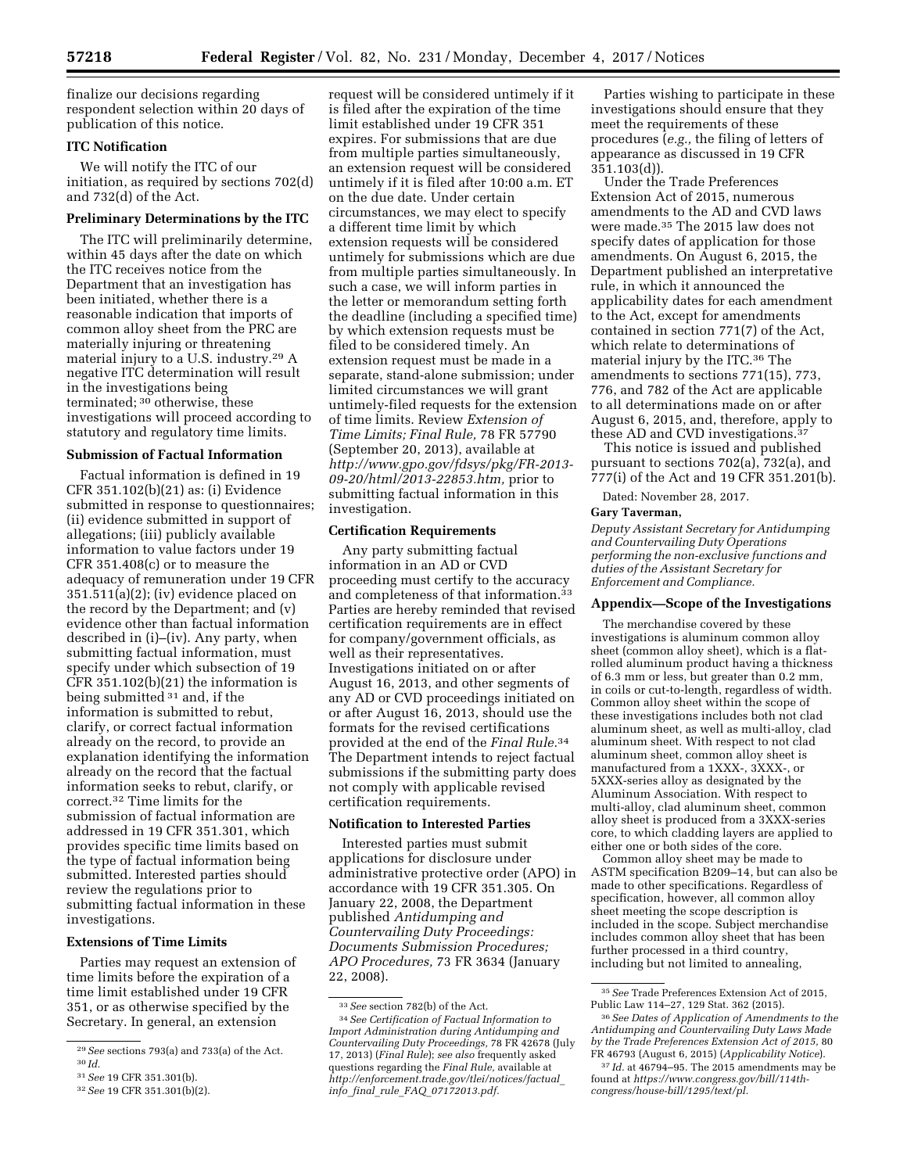finalize our decisions regarding respondent selection within 20 days of publication of this notice.

## **ITC Notification**

We will notify the ITC of our initiation, as required by sections 702(d) and 732(d) of the Act.

# **Preliminary Determinations by the ITC**

The ITC will preliminarily determine, within 45 days after the date on which the ITC receives notice from the Department that an investigation has been initiated, whether there is a reasonable indication that imports of common alloy sheet from the PRC are materially injuring or threatening material injury to a U.S. industry.29 A negative ITC determination will result in the investigations being terminated; 30 otherwise, these investigations will proceed according to statutory and regulatory time limits.

# **Submission of Factual Information**

Factual information is defined in 19 CFR 351.102(b)(21) as: (i) Evidence submitted in response to questionnaires; (ii) evidence submitted in support of allegations; (iii) publicly available information to value factors under 19 CFR 351.408(c) or to measure the adequacy of remuneration under 19 CFR 351.511(a)(2); (iv) evidence placed on the record by the Department; and (v) evidence other than factual information described in (i)–(iv). Any party, when submitting factual information, must specify under which subsection of 19 CFR 351.102(b)(21) the information is being submitted 31 and, if the information is submitted to rebut, clarify, or correct factual information already on the record, to provide an explanation identifying the information already on the record that the factual information seeks to rebut, clarify, or correct.32 Time limits for the submission of factual information are addressed in 19 CFR 351.301, which provides specific time limits based on the type of factual information being submitted. Interested parties should review the regulations prior to submitting factual information in these investigations.

#### **Extensions of Time Limits**

Parties may request an extension of time limits before the expiration of a time limit established under 19 CFR 351, or as otherwise specified by the Secretary. In general, an extension

request will be considered untimely if it is filed after the expiration of the time limit established under 19 CFR 351 expires. For submissions that are due from multiple parties simultaneously, an extension request will be considered untimely if it is filed after 10:00 a.m. ET on the due date. Under certain circumstances, we may elect to specify a different time limit by which extension requests will be considered untimely for submissions which are due from multiple parties simultaneously. In such a case, we will inform parties in the letter or memorandum setting forth the deadline (including a specified time) by which extension requests must be filed to be considered timely. An extension request must be made in a separate, stand-alone submission; under limited circumstances we will grant untimely-filed requests for the extension of time limits. Review *Extension of Time Limits; Final Rule,* 78 FR 57790 (September 20, 2013), available at *[http://www.gpo.gov/fdsys/pkg/FR-2013-](http://www.gpo.gov/fdsys/pkg/FR-2013-09-20/html/2013-22853.htm) [09-20/html/2013-22853.htm,](http://www.gpo.gov/fdsys/pkg/FR-2013-09-20/html/2013-22853.htm)* prior to submitting factual information in this investigation.

#### **Certification Requirements**

Any party submitting factual information in an AD or CVD proceeding must certify to the accuracy and completeness of that information.33 Parties are hereby reminded that revised certification requirements are in effect for company/government officials, as well as their representatives. Investigations initiated on or after August 16, 2013, and other segments of any AD or CVD proceedings initiated on or after August 16, 2013, should use the formats for the revised certifications provided at the end of the *Final Rule.*34 The Department intends to reject factual submissions if the submitting party does not comply with applicable revised certification requirements.

### **Notification to Interested Parties**

Interested parties must submit applications for disclosure under administrative protective order (APO) in accordance with 19 CFR 351.305. On January 22, 2008, the Department published *Antidumping and Countervailing Duty Proceedings: Documents Submission Procedures; APO Procedures,* 73 FR 3634 (January 22, 2008).

Parties wishing to participate in these investigations should ensure that they meet the requirements of these procedures (*e.g.,* the filing of letters of appearance as discussed in 19 CFR 351.103(d)).

Under the Trade Preferences Extension Act of 2015, numerous amendments to the AD and CVD laws were made.35 The 2015 law does not specify dates of application for those amendments. On August 6, 2015, the Department published an interpretative rule, in which it announced the applicability dates for each amendment to the Act, except for amendments contained in section 771(7) of the Act, which relate to determinations of material injury by the ITC.36 The amendments to sections 771(15), 773, 776, and 782 of the Act are applicable to all determinations made on or after August 6, 2015, and, therefore, apply to these AD and CVD investigations.37

This notice is issued and published pursuant to sections 702(a), 732(a), and 777(i) of the Act and 19 CFR 351.201(b).

Dated: November 28, 2017.

# **Gary Taverman,**

*Deputy Assistant Secretary for Antidumping and Countervailing Duty Operations performing the non-exclusive functions and duties of the Assistant Secretary for Enforcement and Compliance.* 

#### **Appendix—Scope of the Investigations**

The merchandise covered by these investigations is aluminum common alloy sheet (common alloy sheet), which is a flatrolled aluminum product having a thickness of 6.3 mm or less, but greater than 0.2 mm, in coils or cut-to-length, regardless of width. Common alloy sheet within the scope of these investigations includes both not clad aluminum sheet, as well as multi-alloy, clad aluminum sheet. With respect to not clad aluminum sheet, common alloy sheet is manufactured from a 1XXX-, 3XXX-, or 5XXX-series alloy as designated by the Aluminum Association. With respect to multi-alloy, clad aluminum sheet, common alloy sheet is produced from a 3XXX-series core, to which cladding layers are applied to either one or both sides of the core.

Common alloy sheet may be made to ASTM specification B209–14, but can also be made to other specifications. Regardless of specification, however, all common alloy sheet meeting the scope description is included in the scope. Subject merchandise includes common alloy sheet that has been further processed in a third country, including but not limited to annealing,

<sup>29</sup>*See* sections 793(a) and 733(a) of the Act.

<sup>30</sup> *Id.* 

<sup>31</sup>*See* 19 CFR 351.301(b).

<sup>32</sup>*See* 19 CFR 351.301(b)(2).

<sup>33</sup>*See* section 782(b) of the Act.

<sup>34</sup>*See Certification of Factual Information to Import Administration during Antidumping and Countervailing Duty Proceedings,* 78 FR 42678 (July 17, 2013) (*Final Rule*); *see also* frequently asked questions regarding the *Final Rule,* available at *[http://enforcement.trade.gov/tlei/notices/factual](http://enforcement.trade.gov/tlei/notices/factual_info_final_rule_FAQ_07172013.pdf)*\_ *info*\_*final*\_*rule*\_*FAQ*\_*[07172013.pdf.](http://enforcement.trade.gov/tlei/notices/factual_info_final_rule_FAQ_07172013.pdf)* 

<sup>35</sup>*See* Trade Preferences Extension Act of 2015, Public Law 114–27, 129 Stat. 362 (2015).

<sup>36</sup>*See Dates of Application of Amendments to the Antidumping and Countervailing Duty Laws Made by the Trade Preferences Extension Act of 2015,* 80 FR 46793 (August 6, 2015) (*Applicability Notice*).

<sup>37</sup> *Id.* at 46794–95. The 2015 amendments may be found at *[https://www.congress.gov/bill/114th](https://www.congress.gov/bill/114th-congress/house-bill/1295/text/pl)[congress/house-bill/1295/text/pl.](https://www.congress.gov/bill/114th-congress/house-bill/1295/text/pl)*